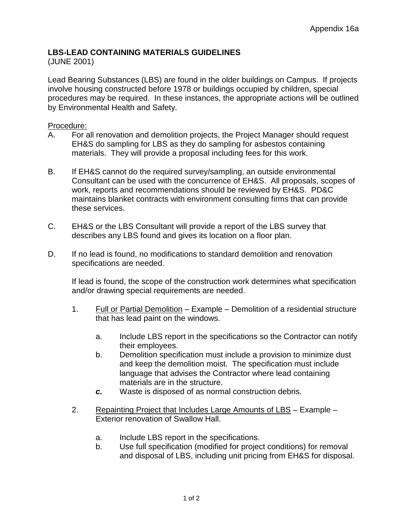## **LBS-LEAD CONTAINING MATERIALS GUIDELINES**

## (JUNE 2001)

Lead Bearing Substances (LBS) are found in the older buildings on Campus. If projects involve housing constructed before 1978 or buildings occupied by children, special procedures may be required. In these instances, the appropriate actions will be outlined by Environmental Health and Safety.

## Procedure:

- A. For all renovation and demolition projects, the Project Manager should request EH&S do sampling for LBS as they do sampling for asbestos containing materials. They will provide a proposal including fees for this work.
- B. If EH&S cannot do the required survey/sampling, an outside environmental Consultant can be used with the concurrence of EH&S. All proposals, scopes of work, reports and recommendations should be reviewed by EH&S. PD&C maintains blanket contracts with environment consulting firms that can provide these services.
- C. EH&S or the LBS Consultant will provide a report of the LBS survey that describes any LBS found and gives its location on a floor plan.
- D. If no lead is found, no modifications to standard demolition and renovation specifications are needed.

If lead is found, the scope of the construction work determines what specification and/or drawing special requirements are needed.

- 1. Full or Partial Demolition Example Demolition of a residential structure that has lead paint on the windows.
	- a. Include LBS report in the specifications so the Contractor can notify their employees.
	- b. Demolition specification must include a provision to minimize dust and keep the demolition moist. The specification must include language that advises the Contractor where lead containing materials are in the structure.
	- *c.* Waste is disposed of as normal construction debris.
- 2. Repainting Project that Includes Large Amounts of LBS Example Exterior renovation of Swallow Hall.
	- a. Include LBS report in the specifications.
	- b. Use full specification (modified for project conditions) for removal and disposal of LBS, including unit pricing from EH&S for disposal.